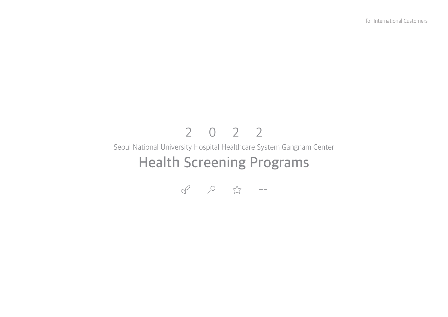# **Health Screening Programs** Seoul National University Hospital Healthcare System Gangnam Center 2022

 $\begin{matrix} 0 & 0 & \mathfrak{P} & + \mathfrak{P} & \mathfrak{P} & \mathfrak{P} & \mathfrak{P} \end{matrix}$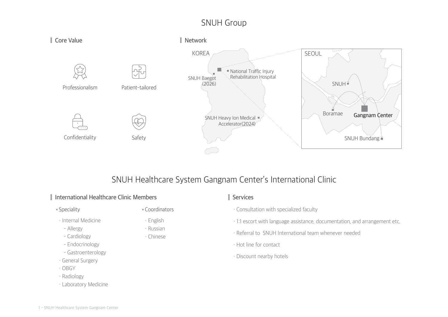## SNUH Group



## SNUH Healthcare System Gangnam Center's International Clinic

## **International Healthcare Clinic Members**

#### Speciality Coordinators

・ English ・ Russian ・ Chinese

- ・ Internal Medicine
- Allergy
- Cardiology
- Endocrinology
- Gastroenterology
- ・ General Surgery
- ・ OBGY
- ・ Radiology
- ・ Laboratory Medicine

## **Services**

- ・ Consultation with specialized faculty
- ・ 1:1 escort with language assistance, documentation, and arrangement etc.
- ・ Referral to SNUH International team whenever needed
- ・ Hot line for contact
- ・ Discount nearby hotels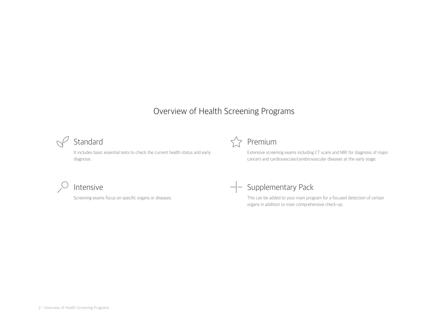## Overview of Health Screening Programs



It includes basic essential tests to check the current health status and early diagnosis.



Extensive screening exams including CT scans and MRI for diagnosis of major cancers and cardiovascular/cerebrovascular diseases at the early stage.

# Intensive

Screening exams focus on specific organs or diseases.

## $-$  Supplementary Pack

This can be added to your main program for a focused detection of certain organs in addition to main comprehensive check-up.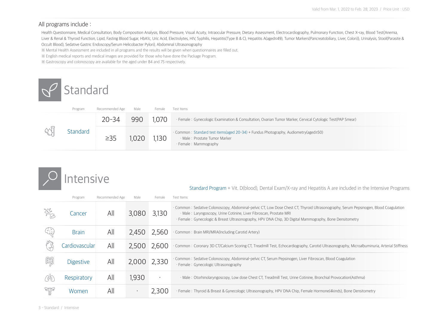### All programs include :

Health Questionnaire, Medical Consultation, Body Composition Analysis, Blood Pressure, Visual Acuity, Intraocular Pressure, Dietary Assessment, Electrocardiography, Pulmonary Function, Chest X-ray, Blood Test{Anemia, Liver & Renal & Thyroid Function, Lipid, Fasting Blood Sugar, HbA1c, Uric Acid, Electrolytes, HIV, Syphilis, Hepatitis(Type B & C), Hepatitis A(aged <49), Tumor Markers(Pancreatobiliary, Liver, Colon)}, Urinalysis, Stool(P Occult Blood), Sedative Gastric Endoscopy/Serum Helicobacter Pylori), Abdominal Ultrasonography

※ Mental Health Assessment are included in all programs and the results will be given when questionnaires are filled out.

※ English medical reports and medical images are provided for those who have done the Package Program.

※ Gastroscopy and colonoscopy are available for the aged under 84 and 75 respectively.

# **Standard**

| Program  | Recommended Age | Male | Female | Test Items                                                                                                                                            |
|----------|-----------------|------|--------|-------------------------------------------------------------------------------------------------------------------------------------------------------|
|          | $20 - 34$       | 990  | 1,070  | · Female: Gynecologic Examination & Consultation, Ovarian Tumor Marker, Cervical Cytologic Test(PAP Smear)                                            |
| Standard | $\geq$ 35       | .020 | 1,130  | · Common : Standard test items(aged 20-34) + Fundus Photography, Audiometry(aged≥50)<br>· Male: Prostate Tumor Marker<br>$\cdot$ Female : Mammography |

# Intensive

Standard Program + Vit. D(blood), Dental Exam/X-ray and Hepatitis A are included in the Intensive Programs

|       | Program          | Recommended Age | Male         | Female | Test Items                                                                                                                                                                                                                                                                                                             |
|-------|------------------|-----------------|--------------|--------|------------------------------------------------------------------------------------------------------------------------------------------------------------------------------------------------------------------------------------------------------------------------------------------------------------------------|
| stro. | Cancer           | All             | 3,080        | 3,130  | · Common: Sedative Colonoscopy, Abdominal-pelvic CT, Low Dose Chest CT, Thyroid Ultrasonography, Serum Pepsinogen, Blood Coagulation<br>· Male: Laryngoscopy, Urine Cotinine, Liver Fibroscan, Prostate MRI<br>· Female: Gynecologic & Breast Ultrasonography, HPV DNA Chip, 3D Digital Mammography, Bone Densitometry |
| (군)   | <b>Brain</b>     | All             | 2,450        | 2,560  | · Common: Brain MRI/MRA(Including Carotid Artery)                                                                                                                                                                                                                                                                      |
|       | Cardiovascular   | All             | 2,500        | 2,600  | · Common: Coronary 3D CT/Calcium Scoring CT, Treadmill Test, Echocardiography, Carotid Ultrasonography, Microalbuminuria, Arterial Stiffness                                                                                                                                                                           |
| Ě     | <b>Digestive</b> | All             | 2,000 2,330  |        | Common : Sedative Colonoscopy, Abdominal-pelvic CT, Serum Pepsinogen, Liver Fibroscan, Blood Coagulation<br>· Female: Gynecologic Ultrasonography                                                                                                                                                                      |
| 않     | Respiratory      | All             | 1,930        |        | · Male: Otorhinolaryngoscopy, Low dose Chest CT, Treadmill Test, Urine Cotinine, Bronchial Provocation(Asthma)                                                                                                                                                                                                         |
| W     | Women            | All             | $\mathbf{r}$ | 2,300  | · Female: Thyroid & Breast & Gynecologic Ultrasonography, HPV DNA Chip, Female Hormone(4kinds), Bone Densitometry                                                                                                                                                                                                      |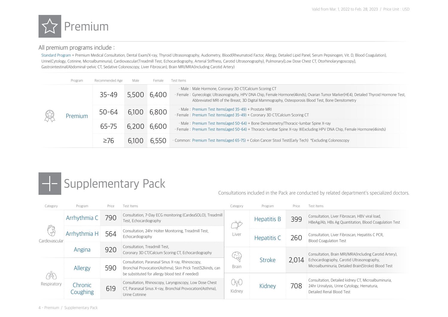

### All premium programs include :

Standard Program + Premium Medical Consultation, Dental Exam/X-ray, Thyroid Ultrasonography, Audiometry, Blood Rheumatoid Factor, Allergy, Detailed Lipid Panel, Serum Pepsinogen, Vit. D, Blood Coagulation), Urine(Cytology, Cotinine, Microalbuminuria), Cardiovascular(Treadmill Test, Echocardiography, Arterial Stiffness, Carotid Ultrasonography), Pulmonary{Low Dose Chest CT, Otorhinolaryngoscopy}, Gastrointestinal(Abdominal-pelvic CT, Sedative Colonoscopy, Liver Fibroscan), Brain MRI/MRA(Including Carotid Artery)

| Program | Recommended Age                                                                                                                                                      | Male        | Female | Test Items                                                                                                                                                                                                                                                                                             |
|---------|----------------------------------------------------------------------------------------------------------------------------------------------------------------------|-------------|--------|--------------------------------------------------------------------------------------------------------------------------------------------------------------------------------------------------------------------------------------------------------------------------------------------------------|
| Premium | $35 - 49$                                                                                                                                                            | 5,500       | 6,400  | · Male: Male Hormone, Coronary 3D CT/Calcium Scoring CT<br>· Female: Gynecologic Ultrasonography, HPV DNA Chip, Female Hormone(4kinds), Ovarian Tumor Marker(HE4), Detailed Thyroid Hormone Test,<br>Abbreviated MRI of the Breast, 3D Digital Mammography, Osteoporosis Blood Test, Bone Densitometry |
|         | · Male: Premium Test Items(aged 35-49) + Prostate MRI<br>6,800<br>6,100<br>$50 - 64$<br>· Female: Premium Test Items(aged 35-49) + Coronary 3D CT/Calcium Scoring CT |             |        |                                                                                                                                                                                                                                                                                                        |
|         | $65 - 75$                                                                                                                                                            | 6,200 6,600 |        | · Male: Premium Test Items(aged 50-64) + Bone Densitometry/Thoracic-lumbar Spine X-ray<br>· Female: Premium Test Items(aged 50-64) + Thoracic-lumbar Spine X-ray ※Excluding HPV DNA Chip, Female Hormone(4kinds)                                                                                       |
|         | $\geq 76$                                                                                                                                                            | 6,100       | 6,550  | · Common: Premium Test Items(aged 65-75) + Colon Cancer Stool Test(Early Tech) *Excluding Colonoscopy                                                                                                                                                                                                  |



Consultations included in the Pack are conducted by related department's specialized doctors.

| Category            | Program             | Price | Test Items                                                                                                                                                          | Category     | Program       | Price | Test Items                                                                                                                                                  |
|---------------------|---------------------|-------|---------------------------------------------------------------------------------------------------------------------------------------------------------------------|--------------|---------------|-------|-------------------------------------------------------------------------------------------------------------------------------------------------------------|
| P<br>Cardiovascular | Arrhythmia C        | 790   | Consultation, 7-Day ECG monitoring (CardeaSOLO), Treadmill<br>Test, Echocardiography                                                                                | ₩<br>Liver   | Hepatitis B   | 399   | Consultation, Liver Fibroscan, HBV viral load,<br>HBeAg/Ab, HBs Ag Quantitation, Blood Coagulation Test                                                     |
|                     | Arrhythmia H        | 564   | Consultation, 24hr Holter Monitoring, Treadmill Test,<br>Echocardiography                                                                                           |              | Hepatitis C   | 260   | Consultation, Liver Fibroscan, Hepatitis C PCR,<br><b>Blood Coagulation Test</b>                                                                            |
|                     | Angina              | 920   | Consultation, Treadmill Test,<br>Coronary 3D CT/Calcium Scoring CT, Echocardiography                                                                                | 육            | <b>Stroke</b> | 2,014 | Consultation, Brain MRI/MRA(Including Carotid Artery),<br>Echocardiography, Carotid Ultrasonography,<br>Microalbuminuria, Detailed Brain(Stroke) Blood Test |
| 넷인<br>Respiratory   | Allergy             | 590   | Consultation, Paranasal Sinus X-ray, Rhinoscopy,<br>Bronchial Provocation(Asthma), Skin Prick Test(52kinds, can<br>be substituted for allergy blood test if needed) | <b>Brain</b> |               |       |                                                                                                                                                             |
|                     | Chronic<br>Coughing | 619   | Consultation, Rhinoscopy, Laryngoscopy, Low Dose Chest<br>CT, Paranasal Sinus X-ray, Bronchial Provocation (Asthma),<br>Urine Cotinine                              | 아y<br>Kidney | Kidney        | 708   | Consultation, Detailed kidney CT, Microalbuminuria,<br>24hr Urinalysis, Urine Cytology, Hematuria,<br>Detailed Renal Blood Test                             |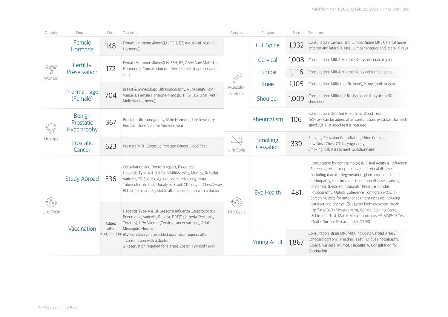| Category   | Program                                          | Price          | Test Items                                                                                                                                                                                                                                                                                                                                                      | Category             | Program              | Price | Test Items                                                                                                                                                                                                                                                                                                                                                                                                                                                                                                                                                                                                              |
|------------|--------------------------------------------------|----------------|-----------------------------------------------------------------------------------------------------------------------------------------------------------------------------------------------------------------------------------------------------------------------------------------------------------------------------------------------------------------|----------------------|----------------------|-------|-------------------------------------------------------------------------------------------------------------------------------------------------------------------------------------------------------------------------------------------------------------------------------------------------------------------------------------------------------------------------------------------------------------------------------------------------------------------------------------------------------------------------------------------------------------------------------------------------------------------------|
| W<br>Women | Female<br>Hormone                                | 148            | Female Hormone 4kinds(LH, FSH, E2, AMH(Anti-Mullerian<br>Hormone)}                                                                                                                                                                                                                                                                                              | Musculo-<br>skeletal | C-L Spine            | 1,332 | Consultation, Cervical and Lumbar Spine MRI, Cervical Spine<br>anterior and lateral X-rays, Lumbar anterior and lateral X-rays                                                                                                                                                                                                                                                                                                                                                                                                                                                                                          |
|            | Fertility                                        |                | Female Hormone 4kinds{LH, FSH, E2, AMH(Anti-Mullerian<br>Hormone)}, Consultation of referral to fertility preservation<br>clinic                                                                                                                                                                                                                                |                      | Cervical             | 1.008 | Consultation, MRI & Multiple X-rays of cervical spine                                                                                                                                                                                                                                                                                                                                                                                                                                                                                                                                                                   |
|            | Preservation                                     | 172            |                                                                                                                                                                                                                                                                                                                                                                 |                      | Lumbar               | 1,116 | Consultation, MRI & Multiple X-rays of lumbar spine                                                                                                                                                                                                                                                                                                                                                                                                                                                                                                                                                                     |
|            |                                                  |                | Breast & Gynecologic Ultrasonography, Rubella(IgG, IgM),<br>Varicella, Female Hormone 4kinds{LH, FSH, E2, AMH(Anti-<br>Mullerian Hormone)}                                                                                                                                                                                                                      |                      | Knee                 | 1,105 | Consultation, MRI(Lt. or Rt. knee), X-rays(both knees)                                                                                                                                                                                                                                                                                                                                                                                                                                                                                                                                                                  |
|            | Pre-marriage<br>(Female)                         | 704            |                                                                                                                                                                                                                                                                                                                                                                 |                      | Shoulder             | 1,009 | Consultation, MRI(Lt or Rt shoulder), X-rays(Lt or Rt<br>shoulder)                                                                                                                                                                                                                                                                                                                                                                                                                                                                                                                                                      |
|            | <b>Benign</b><br>Prostatic<br><b>Hypertrophy</b> | 367            | Prostate Ultrasonography, Male Hormone, Uroflowmetry,<br>Residual Urine Volume Measurement                                                                                                                                                                                                                                                                      |                      | Rheumatism           | 106   | Consultation, Detailed Rheumatic Blood Test<br>*X-rays can be added after consultation, extra cost for each<br>site(\$50)   ※Blood test is required                                                                                                                                                                                                                                                                                                                                                                                                                                                                     |
| Urology    | Prostatic<br>Cancer                              | 623            | Prostate MRI, Extensive Prostate Cancer Blood Test                                                                                                                                                                                                                                                                                                              | 72<br>Life Style     | Smoking<br>Cessation | 339   | Smoking Cessation Consultation, Urine Cotinine,<br>Low Dose Chest CT, Laryngoscopy,<br>Smoking Risk Assessment(Questionnaire)                                                                                                                                                                                                                                                                                                                                                                                                                                                                                           |
| Life Cycle | <b>Study Abroad</b>                              | 536            | Consultation and Doctor's report, Blood test,<br>Hepatitis(Type A & B & C), MMR(Measles, Mumps, Rubella),<br>Varicella, TB Specific Ag induced Interferon gamma,<br>Tuberculin skin test, Urinalysis, Stool, CD copy of Chest X-ray<br>X Test items are adjustable after consultation with a doctor                                                             | Life Cycle           | Eye Health           | 481   | Consultation by ophthalmologist, Visual Acuity & Refraction<br>Screening tests for optic nerve and retinal diseases<br>including macular degeneration, glaucoma, and diabetic<br>retinopathy, the three most common diseases causing<br>blindness {Detailed Intraocular Pressure, Fundus<br>Photography, Optical Coherence Tomography(OCT)}<br>Screening tests for anterior segment diseases including<br>cataract and dry eye. {Slit Lamp Biomicroscopy, Break<br>Up Time(BUT) Measurement, Corneal Staining Score,<br>Schirmer's Test, Matrix Metalloproteinase-9(MMP-9) Test,<br>Ocular Surface Disease Index(OSDI)} |
|            | Vaccination                                      | Added<br>after | Hepatitis(Type A & B), Seasonal Influenza, Streptococcus<br>Pneumonia, Varicella, Rubella, DPT(Diphtheria, Pertussis,<br>Tetanus), HPV Vaccine(Cervical cancer vaccine), Adult<br>Meningitis, Herpes<br>consultation *Vaccination can be added upon your request after<br>consultation with a doctor.<br>*Reservation required for Herpes Zoster, Typhoid Fever |                      |                      |       |                                                                                                                                                                                                                                                                                                                                                                                                                                                                                                                                                                                                                         |
|            |                                                  |                |                                                                                                                                                                                                                                                                                                                                                                 |                      | <b>Young Adult</b>   | 1.867 | Consultation, Brain MRI/MRA(Including Carotid Artery),<br>Echocardiography, Treadmill Test, Fundus Photography,<br>Rubella, Varicella, Mumps, Hepatitis A, Consultation for<br>Vaccination                                                                                                                                                                                                                                                                                                                                                                                                                              |